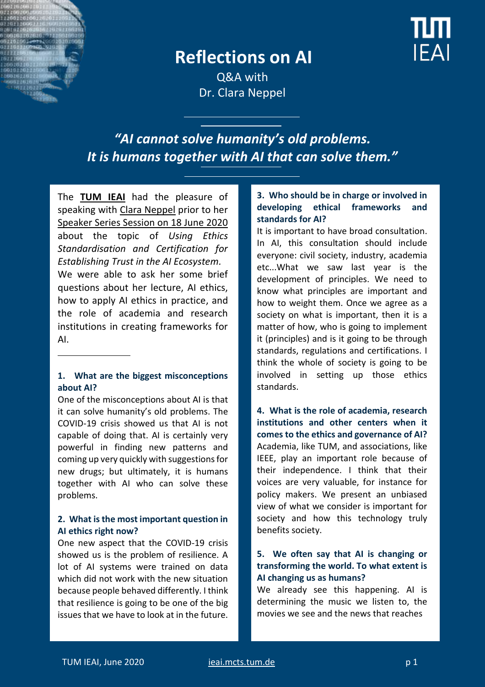

## **Reflections on AI**

**EAI** 

Q&A with Dr. Clara Neppel

*"AI cannot solve humanity's old problems. It is humans together with AI that can solve them."*

The **[TUM IEAI](https://ieai.mcts.tum.de/)** had the pleasure of speaking with [Clara Neppel](https://entrepreneurship.ieee.org/speaker/clara-neppel/) prior to her [Speaker Series Session on 18 June](https://ieai.mcts.tum.de/event/ieai-speaker-series-using-ethics-standardisation-and-certification-for-establishing-trust-in-the-ai-ecosystem-with-clara-neppel/) 2020 about the topic of *Using Ethics Standardisation and Certification for Establishing Trust in the AI Ecosystem.* 

We were able to ask her some brief questions about her lecture, AI ethics, how to apply AI ethics in practice, and the role of academia and research institutions in creating frameworks for AI.

#### **1. What are the biggest misconceptions about AI?**

One of the misconceptions about AI is that it can solve humanity's old problems. Τhe COVID-19 crisis showed us that AI is not capable of doing that. AI is certainly very powerful in finding new patterns and coming up very quickly with suggestions for new drugs; but ultimately, it is humans together with AI who can solve these problems.

#### **2. What is the most important question in AI ethics right now?**

One new aspect that the COVID-19 crisis showed us is the problem of resilience. A lot of AI systems were trained on data which did not work with the new situation because people behaved differently. I think that resilience is going to be one of the big issues that we have to look at in the future.

#### **3. Who should be in charge or involved in developing ethical frameworks and standards for AI?**

It is important to have broad consultation. In AI, this consultation should include everyone: civil society, industry, academia etc...What we saw last year is the development of principles. We need to know what principles are important and how to weight them. Once we agree as a society on what is important, then it is a matter of how, who is going to implement it (principles) and is it going to be through standards, regulations and certifications. I think the whole of society is going to be involved in setting up those ethics standards.

**4. What is the role of academia, research institutions and other centers when it comes to the ethics and governance of AI?** Academia, like TUM, and associations, like IEEE, play an important role because of their independence. I think that their voices are very valuable, for instance for policy makers. We present an unbiased view of what we consider is important for society and how this technology truly benefits society.

#### **5. We often say that AI is changing or transforming the world. To what extent is AI changing us as humans?**

We already see this happening. AI is determining the music we listen to, the movies we see and the news that reaches